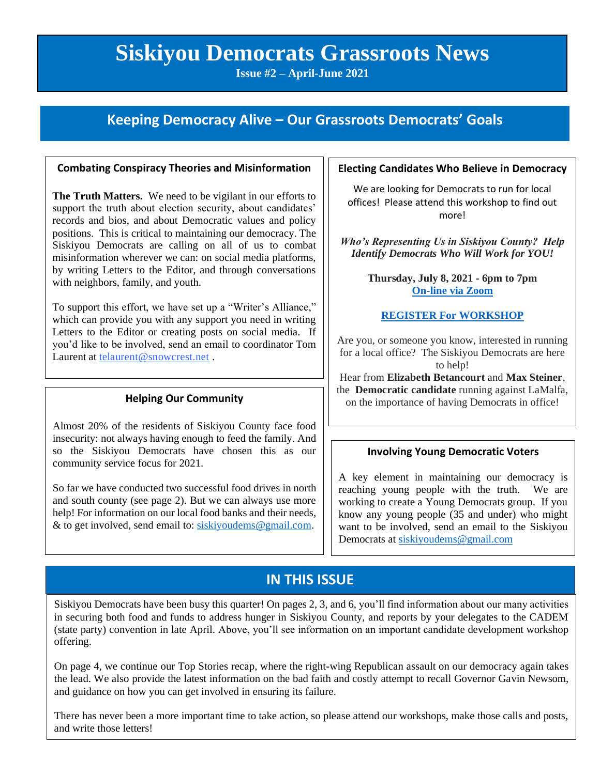# **Siskiyou Democrats Grassroots News**

**Issue #2 – April-June 2021**

### **Keeping Democracy Alive – Our Grassroots Democrats' Goals**

#### **Combating Conspiracy Theories and Misinformation**

**The Truth Matters.** We need to be vigilant in our efforts to support the truth about election security, about candidates' records and bios, and about Democratic values and policy positions. This is critical to maintaining our democracy. The Siskiyou Democrats are calling on all of us to combat misinformation wherever we can: on social media platforms, by writing Letters to the Editor, and through conversations with neighbors, family, and youth.

To support this effort, we have set up a "Writer's Alliance," which can provide you with any support you need in writing Letters to the Editor or creating posts on social media. If you'd like to be involved, send an email to coordinator Tom Laurent at [telaurent@snowcrest.net](mailto:telaurent@snowcrest.net).

### **Helping Our Community**

Almost 20% of the residents of Siskiyou County face food insecurity: not always having enough to feed the family. And so the Siskiyou Democrats have chosen this as our community service focus for 2021.

So far we have conducted two successful food drives in north and south county (see page 2). But we can always use more help! For information on our local food banks and their needs, & to get involved, send email to: [siskiyoudems@gmail.com.](mailto:siskiyoudems@gmail.com)

#### **Electing Candidates Who Believe in Democracy**

We are looking for Democrats to run for local offices! Please attend this workshop to find out more!

*Who's Representing Us in Siskiyou County? Help Identify Democrats Who Will Work for YOU!*

> **Thursday, July 8, 2021 - 6pm to 7pm [On-line via Zoom](https://us02web.zoom.us/meeting/register/tZ0rduCrqzIjG9OQ1N8VhVXzLD9e2yvtZG2j)**

#### **[REGISTER For WORKSHOP](https://us02web.zoom.us/meeting/register/tZ0rduCrqzIjG9OQ1N8VhVXzLD9e2yvtZG2j)**

Are you, or someone you know, interested in running for a local office? The Siskiyou Democrats are here to help!

Hear from **Elizabeth Betancourt** and **Max Steiner**, the **Democratic candidate** running against LaMalfa, on the importance of having Democrats in office!

#### R **Involving Young Democratic Voters**

A key element in maintaining our democracy is reaching young people with the truth. We are working to create a Young Democrats group. If you know any young people (35 and under) who might want to be involved, send an email to the Siskiyou Democrats a[t siskiyoudems@gmail.com](mailto:siskiyoudems@gmail.com)

### **IN THIS ISSUE**

Siskiyou Democrats have been busy this quarter! On pages 2, 3, and 6, you'll find information about our many activities in securing both food and funds to address hunger in Siskiyou County, and reports by your delegates to the CADEM (state party) convention in late April. Above, you'll see information on an important candidate development workshop offering.

On page 4, we continue our Top Stories recap, where the right-wing Republican assault on our democracy again takes the lead. We also provide the latest information on the bad faith and costly attempt to recall Governor Gavin Newsom, and guidance on how you can get involved in ensuring its failure.

There has never been a more important time to take action, so please attend our workshops, make those calls and posts, and write those letters!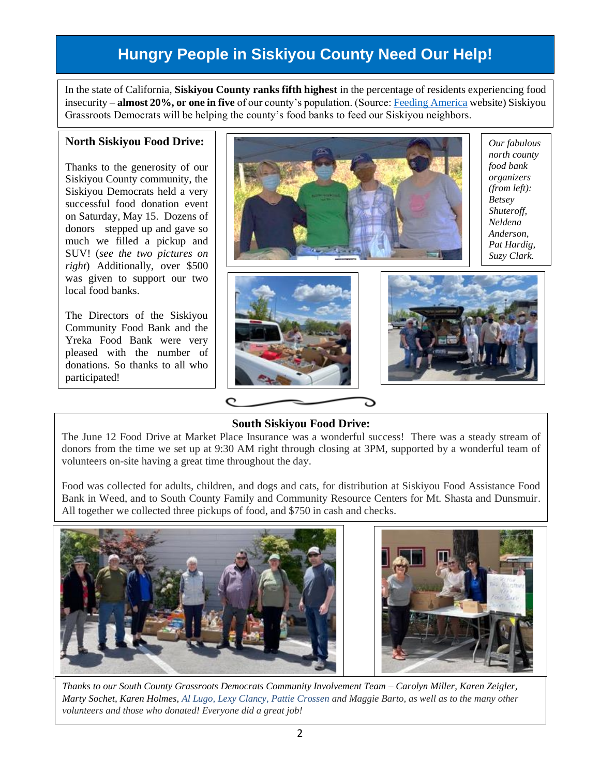## **Hungry People in Siskiyou County Need Our Help!**

In the state of California, **Siskiyou County ranks fifth highest** in the percentage of residents experiencing food insecurity – **almost 20%, or one in five** of our county's population. (Source[: Feeding America](https://feedingamericaaction.org/resources/state-by-state-resource-the-impact-of-coronavirus-on-food-insecurity/) website) Siskiyou Grassroots Democrats will be helping the county's food banks to feed our Siskiyou neighbors.

#### **North Siskiyou Food Drive:**

Thanks to the generosity of our Siskiyou County community, the Siskiyou Democrats held a very successful food donation event on Saturday, May 15. Dozens of donors stepped up and gave so much we filled a pickup and SUV! (*see the two pictures on right*) Additionally, over \$500 was given to support our two local food banks.

The Directors of the Siskiyou Community Food Bank and the Yreka Food Bank were very pleased with the number of donations. So thanks to all who participated!



*Our fabulous north county food bank organizers (from left): Betsey Shuteroff, Neldena Anderson, Pat Hardig, Suzy Clark.*





### **South Siskiyou Food Drive:**

The June 12 Food Drive at Market Place Insurance was a wonderful success! There was a steady stream of donors from the time we set up at 9:30 AM right through closing at 3PM, supported by a wonderful team of volunteers on-site having a great time throughout the day.

Food was collected for adults, children, and dogs and cats, for distribution at Siskiyou Food Assistance Food Bank in Weed, and to South County Family and Community Resource Centers for Mt. Shasta and Dunsmuir. All together we collected three pickups of food, and \$750 in cash and checks.



*Thanks to our South County Grassroots Democrats Community Involvement Team – Carolyn Miller, Karen Zeigler, Marty Sochet, Karen Holmes, Al Lugo, Lexy Clancy, Pattie Crossen and Maggie Barto, as well as to the many other volunteers and those who donated! Everyone did a great job!*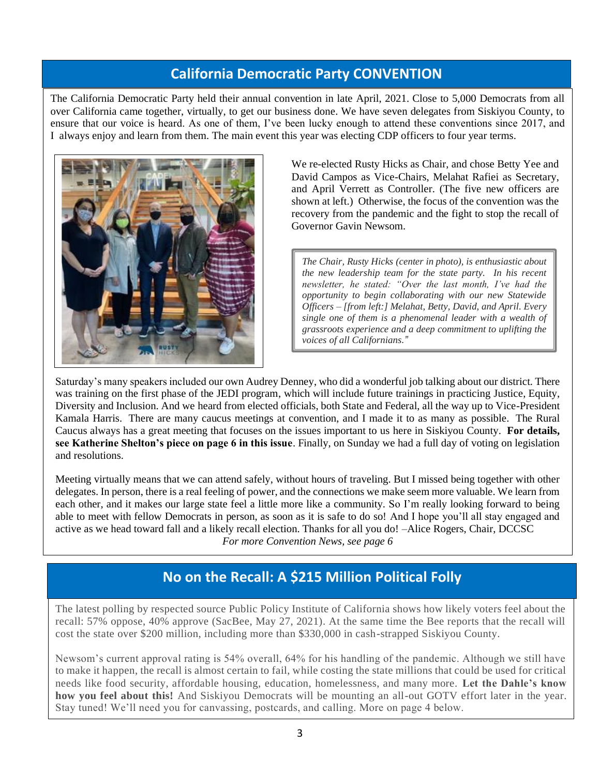### **California Democratic Party CONVENTION**

The California Democratic Party held their annual convention in late April, 2021. Close to 5,000 Democrats from all over California came together, virtually, to get our business done. We have seven delegates from Siskiyou County, to ensure that our voice is heard. As one of them, I've been lucky enough to attend these conventions since 2017, and I always enjoy and learn from them. The main event this year was electing CDP officers to four year terms.



We re-elected Rusty Hicks as Chair, and chose Betty Yee and David Campos as Vice-Chairs, Melahat Rafiei as Secretary, and April Verrett as Controller. (The five new officers are shown at left.) Otherwise, the focus of the convention was the recovery from the pandemic and the fight to stop the recall of Governor Gavin Newsom.

*The Chair, Rusty Hicks (center in photo), is enthusiastic about the new leadership team for the state party. In his recent newsletter, he stated: "Over the last month, I've had the opportunity to begin collaborating with our new Statewide Officers – [from left:] Melahat, Betty, David, and April. Every single one of them is a phenomenal leader with a wealth of grassroots experience and a deep commitment to uplifting the voices of all Californians."*

Saturday's many speakers included our own Audrey Denney, who did a wonderful job talking about our district. There was training on the first phase of the JEDI program, which will include future trainings in practicing Justice, Equity, Diversity and Inclusion. And we heard from elected officials, both State and Federal, all the way up to Vice-President Kamala Harris. There are many caucus meetings at convention, and I made it to as many as possible. The Rural Caucus always has a great meeting that focuses on the issues important to us here in Siskiyou County. **For details, see Katherine Shelton's piece on page 6 in this issue**. Finally, on Sunday we had a full day of voting on legislation and resolutions.

Meeting virtually means that we can attend safely, without hours of traveling. But I missed being together with other delegates. In person, there is a real feeling of power, and the connections we make seem more valuable. We learn from each other, and it makes our large state feel a little more like a community. So I'm really looking forward to being able to meet with fellow Democrats in person, as soon as it is safe to do so! And I hope you'll all stay engaged and active as we head toward fall and a likely recall election. Thanks for all you do! –Alice Rogers, Chair, DCCSC *For more Convention News, see page 6*

### **No on the Recall: A \$215 Million Political Folly**

The latest polling by respected source Public Policy Institute of California shows how likely voters feel about the recall: 57% oppose, 40% approve (SacBee, May 27, 2021). At the same time the Bee reports that the recall will cost the state over \$200 million, including more than \$330,000 in cash-strapped Siskiyou County.

Newsom's current approval rating is 54% overall, 64% for his handling of the pandemic. Although we still have to make it happen, the recall is almost certain to fail, while costing the state millions that could be used for critical needs like food security, affordable housing, education, homelessness, and many more. **Let the Dahle's know how you feel about this!** And Siskiyou Democrats will be mounting an all-out GOTV effort later in the year. Stay tuned! We'll need you for canvassing, postcards, and calling. More on page 4 below.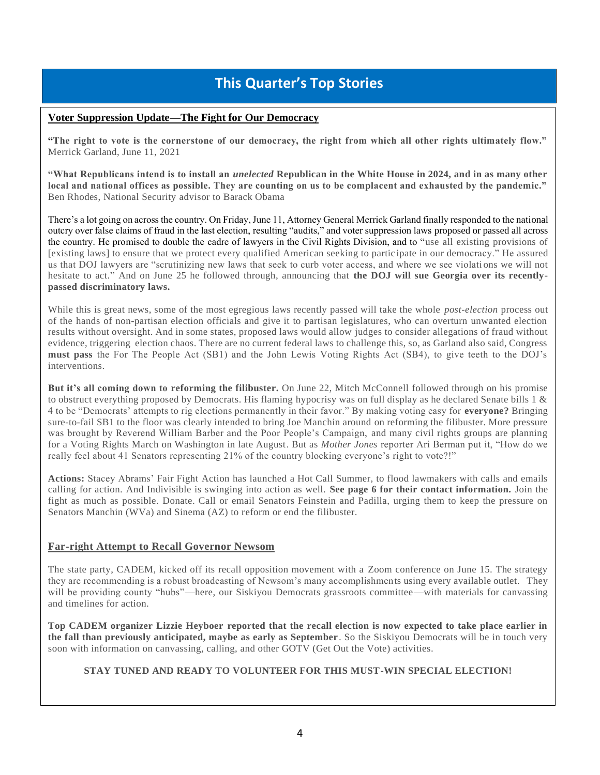### **This Quarter's Top Stories**

#### **Voter Suppression Update—The Fight for Our Democracy**

**"The right to vote is the cornerstone of our democracy, the right from which all other rights ultimately flow."** Merrick Garland, June 11, 2021

**"What Republicans intend is to install an** *unelected* **Republican in the White House in 2024, and in as many other local and national offices as possible. They are counting on us to be complacent and exhausted by the pandemic."** Ben Rhodes, National Security advisor to Barack Obama

There's a lot going on across the country. On Friday, June 11, Attorney General Merrick Garland finally responded to the national outcry over false claims of fraud in the last election, resulting "audits," and voter suppression laws proposed or passed all across the country. He promised to double the cadre of lawyers in the Civil Rights Division, and to "use all existing provisions of [existing laws] to ensure that we protect every qualified American seeking to partic ipate in our democracy." He assured us that DOJ lawyers are "scrutinizing new laws that seek to curb voter access, and where we see violati ons we will not hesitate to act." And on June 25 he followed through, announcing that **the DOJ will sue Georgia over its recentlypassed discriminatory laws.**

While this is great news, some of the most egregious laws recently passed will take the whole *post-election* process out of the hands of non-partisan election officials and give it to partisan legislatures, who can overturn unwanted election results without oversight. And in some states, proposed laws would allow judges to consider allegations of fraud without evidence, triggering election chaos. There are no current federal laws to challenge this, so, as Garland also said, Congress **must pass** the For The People Act (SB1) and the John Lewis Voting Rights Act (SB4), to give teeth to the DOJ's interventions.

**But it's all coming down to reforming the filibuster.** On June 22, Mitch McConnell followed through on his promise to obstruct everything proposed by Democrats. His flaming hypocrisy was on full display as he declared Senate bills  $1 \&$ 4 to be "Democrats' attempts to rig elections permanently in their favor." By making voting easy for **everyone?** Bringing sure-to-fail SB1 to the floor was clearly intended to bring Joe Manchin around on reforming the filibuster. More pressure was brought by Reverend William Barber and the Poor People's Campaign, and many civil rights groups are planning for a Voting Rights March on Washington in late August. But as *Mother Jones* reporter Ari Berman put it, "How do we really feel about 41 Senators representing 21% of the country blocking everyone's right to vote?!"

**Actions:** Stacey Abrams' Fair Fight Action has launched a Hot Call Summer, to flood lawmakers with calls and emails calling for action. And Indivisible is swinging into action as well. **See page 6 for their contact information.** Join the fight as much as possible. Donate. Call or email Senators Feinstein and Padilla, urging them to keep the pressure on Senators Manchin (WVa) and Sinema (AZ) to reform or end the filibuster.

#### **Far-right Attempt to Recall Governor Newsom**

The state party, CADEM, kicked off its recall opposition movement with a Zoom conference on June 15. The strategy they are recommending is a robust broadcasting of Newsom's many accomplishments using every available outlet. They will be providing county "hubs"—here, our Siskiyou Democrats grassroots committee—with materials for canvassing and timelines for action.

**Top CADEM organizer Lizzie Heyboer reported that the recall election is now expected to take place earlier in the fall than previously anticipated, maybe as early as September**. So the Siskiyou Democrats will be in touch very soon with information on canvassing, calling, and other GOTV (Get Out the Vote) activities.

#### **STAY TUNED AND READY TO VOLUNTEER FOR THIS MUST-WIN SPECIAL ELECTION!**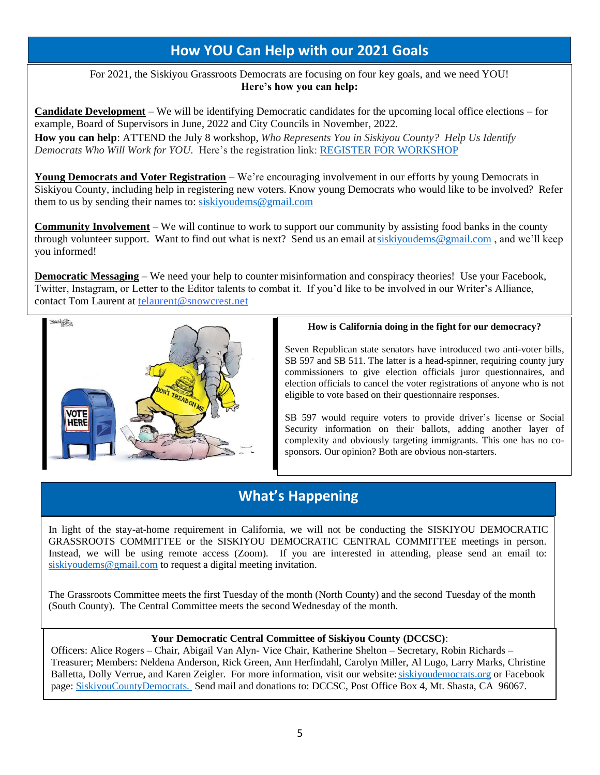### **How YOU Can Help with our 2021 Goals**

For 2021, the Siskiyou Grassroots Democrats are focusing on four key goals, and we need YOU! **Here's how you can help:**

**Candidate Development** – We will be identifying Democratic candidates for the upcoming local office elections – for example, Board of Supervisors in June, 2022 and City Councils in November, 2022.

• **How you can help**: ATTEND the July 8 workshop, *Who Represents You in Siskiyou County? Help Us Identify Democrats Who Will Work for YOU.* Here's the registration link: [REGISTER FOR WORKSHOP](https://us02web.zoom.us/meeting/register/tZ0rduCrqzIjG9OQ1N8VhVXzLD9e2yvtZG2j)

**Young Democrats and Voter Registration –** We're encouraging involvement in our efforts by young Democrats in Siskiyou County, including help in registering new voters. Know young Democrats who would like to be involved? Refer them to us by sending their names to[: siskiyoudems@gmail.com](mailto:siskiyoudems@gmail.com)

**Community Involvement** – We will continue to work to support our community by assisting food banks in the county through volunteer support. Want to find out what is next? Send us an email a[t siskiyoudems@gmail.com](mailto:siskiyoudems@gmail.com) , and we'll keep you informed!

**Democratic Messaging** – We need your help to counter misinformation and conspiracy theories! Use your Facebook, Twitter, Instagram, or Letter to the Editor talents to combat it. If you'd like to be involved in our Writer's Alliance, contact Tom Laurent at [telaurent@snowcrest.net](mailto:telaurent@snowcrest.net)



#### **How is California doing in the fight for our democracy?**

Seven Republican state senators have introduced two anti-voter bills, SB 597 and SB 511. The latter is a head-spinner, requiring county jury commissioners to give election officials juror questionnaires, and election officials to cancel the voter registrations of anyone who is not eligible to vote based on their questionnaire responses.

SB 597 would require voters to provide driver's license or Social Security information on their ballots, adding another layer of complexity and obviously targeting immigrants. This one has no cosponsors. Our opinion? Both are obvious non-starters.

### **What's Happening**

In light of the stay-at-home requirement in California, we will not be conducting the SISKIYOU DEMOCRATIC GRASSROOTS COMMITTEE or the SISKIYOU DEMOCRATIC CENTRAL COMMITTEE meetings in person. Instead, we will be using remote access (Zoom). If you are interested in attending, please send an email to: [siskiyoudems@gmail.com](mailto:siskiyoudems@gmail.com) to request a digital meeting invitation.

The Grassroots Committee meets the first Tuesday of the month (North County) and the second Tuesday of the month (South County). The Central Committee meets the second Wednesday of the month.

### **Your Democratic Central Committee of Siskiyou County (DCCSC)**:

Officers: Alice Rogers – Chair, Abigail Van Alyn- Vice Chair, Katherine Shelton – Secretary, Robin Richards – Treasurer; Members: Neldena Anderson, Rick Green, Ann Herfindahl, Carolyn Miller, Al Lugo, Larry Marks, Christine Balletta, Dolly Verrue, and Karen Zeigler. For more information, visit our website[: siskiyoudemocrats.org](http://www.siskiyoudemocrats.org/) or Facebook page: [SiskiyouCountyDemocrats.](https://www.facebook.com/SiskiyouCountyDemocrats/) Send mail and donations to: DCCSC, Post Office Box 4, Mt. Shasta, CA 96067.